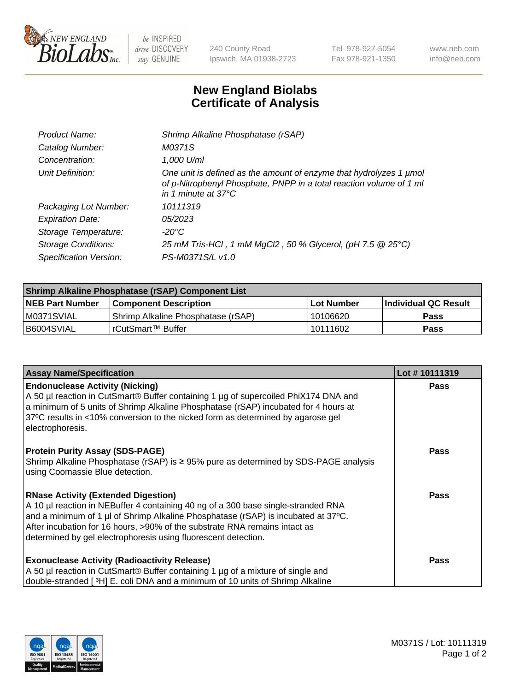

 $be$  INSPIRED drive DISCOVERY stay GENUINE

240 County Road Ipswich, MA 01938-2723 Tel 978-927-5054 Fax 978-921-1350 www.neb.com info@neb.com

## **New England Biolabs Certificate of Analysis**

| Product Name:              | Shrimp Alkaline Phosphatase (rSAP)                                                                                                                                         |
|----------------------------|----------------------------------------------------------------------------------------------------------------------------------------------------------------------------|
| Catalog Number:            | M0371S                                                                                                                                                                     |
| Concentration:             | 1,000 U/ml                                                                                                                                                                 |
| Unit Definition:           | One unit is defined as the amount of enzyme that hydrolyzes 1 µmol<br>of p-Nitrophenyl Phosphate, PNPP in a total reaction volume of 1 ml<br>in 1 minute at $37^{\circ}$ C |
| Packaging Lot Number:      | 10111319                                                                                                                                                                   |
| <b>Expiration Date:</b>    | 05/2023                                                                                                                                                                    |
| Storage Temperature:       | $-20^{\circ}$ C                                                                                                                                                            |
| <b>Storage Conditions:</b> | 25 mM Tris-HCl, 1 mM MgCl2, 50 % Glycerol, (pH 7.5 @ 25°C)                                                                                                                 |
| Specification Version:     | PS-M0371S/L v1.0                                                                                                                                                           |

| <b>Shrimp Alkaline Phosphatase (rSAP) Component List</b> |                                     |            |                       |  |
|----------------------------------------------------------|-------------------------------------|------------|-----------------------|--|
| <b>NEB Part Number</b>                                   | <b>Component Description</b>        | Lot Number | ∣Individual QC Result |  |
| IM0371SVIAL                                              | 'Shrimp Alkaline Phosphatase (rSAP) | 10106620   | <b>Pass</b>           |  |
| I B6004SVIAL                                             | l rCutSmart™ Buffer                 | 10111602   | <b>Pass</b>           |  |

| <b>Assay Name/Specification</b>                                                                                                                                                                                                                                                                                                                                      | Lot #10111319 |
|----------------------------------------------------------------------------------------------------------------------------------------------------------------------------------------------------------------------------------------------------------------------------------------------------------------------------------------------------------------------|---------------|
| <b>Endonuclease Activity (Nicking)</b><br>A 50 µl reaction in CutSmart® Buffer containing 1 µg of supercoiled PhiX174 DNA and<br>a minimum of 5 units of Shrimp Alkaline Phosphatase (rSAP) incubated for 4 hours at<br>37°C results in <10% conversion to the nicked form as determined by agarose gel<br>electrophoresis.                                          | <b>Pass</b>   |
| <b>Protein Purity Assay (SDS-PAGE)</b><br>Shrimp Alkaline Phosphatase (rSAP) is ≥ 95% pure as determined by SDS-PAGE analysis<br>using Coomassie Blue detection.                                                                                                                                                                                                     | <b>Pass</b>   |
| <b>RNase Activity (Extended Digestion)</b><br>A 10 µl reaction in NEBuffer 4 containing 40 ng of a 300 base single-stranded RNA<br>and a minimum of 1 µl of Shrimp Alkaline Phosphatase (rSAP) is incubated at 37°C.<br>After incubation for 16 hours, >90% of the substrate RNA remains intact as<br>determined by gel electrophoresis using fluorescent detection. | Pass          |
| <b>Exonuclease Activity (Radioactivity Release)</b><br>A 50 µl reaction in CutSmart® Buffer containing 1 µg of a mixture of single and<br>double-stranded [3H] E. coli DNA and a minimum of 10 units of Shrimp Alkaline                                                                                                                                              | <b>Pass</b>   |